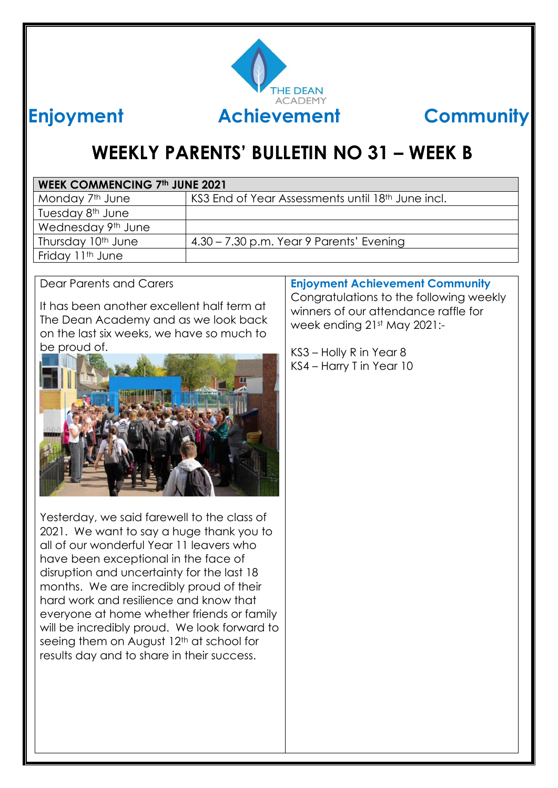

# **WEEKLY PARENTS' BULLETIN NO 31 – WEEK B**

| <b>WEEK COMMENCING 7th JUNE 2021</b> |                                                   |  |
|--------------------------------------|---------------------------------------------------|--|
| Monday 7 <sup>th</sup> June          | KS3 End of Year Assessments until 18th June incl. |  |
| Tuesday 8 <sup>th</sup> June         |                                                   |  |
| Wednesday 9th June                   |                                                   |  |
| Thursday 10 <sup>th</sup> June       | 4.30 - 7.30 p.m. Year 9 Parents' Evening          |  |
| Friday 11th June                     |                                                   |  |

Dear Parents and Carers

It has been another excellent half term at The Dean Academy and as we look back on the last six weeks, we have so much to be proud of.



Yesterday, we said farewell to the class of 2021. We want to say a huge thank you to all of our wonderful Year 11 leavers who have been exceptional in the face of disruption and uncertainty for the last 18 months. We are incredibly proud of their hard work and resilience and know that everyone at home whether friends or family will be incredibly proud. We look forward to seeing them on August 12<sup>th</sup> at school for results day and to share in their success.

#### **Enjoyment Achievement Community**

Congratulations to the following weekly winners of our attendance raffle for week ending 21st May 2021:-

KS3 – Holly R in Year 8 KS4 – Harry T in Year 10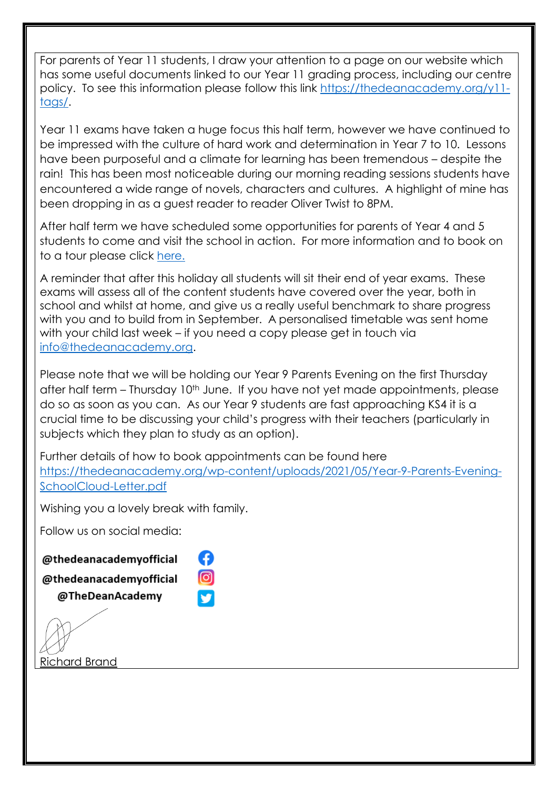For parents of Year 11 students, I draw your attention to a page on our website which has some useful documents linked to our Year 11 grading process, including our centre policy. To see this information please follow this link [https://thedeanacademy.org/y11](https://thedeanacademy.org/y11-tags/) [tags/.](https://thedeanacademy.org/y11-tags/)

Year 11 exams have taken a huge focus this half term, however we have continued to be impressed with the culture of hard work and determination in Year 7 to 10. Lessons have been purposeful and a climate for learning has been tremendous – despite the rain! This has been most noticeable during our morning reading sessions students have encountered a wide range of novels, characters and cultures. A highlight of mine has been dropping in as a guest reader to reader Oliver Twist to 8PM.

After half term we have scheduled some opportunities for parents of Year 4 and 5 students to come and visit the school in action. For more information and to book on to a tour please click [here.](https://thedeanacademy.org/)

A reminder that after this holiday all students will sit their end of year exams. These exams will assess all of the content students have covered over the year, both in school and whilst at home, and give us a really useful benchmark to share progress with you and to build from in September. A personalised timetable was sent home with your child last week – if you need a copy please get in touch via [info@thedeanacademy.org.](mailto:info@thedeanacademy.org)

Please note that we will be holding our Year 9 Parents Evening on the first Thursday after half term – Thursday 10<sup>th</sup> June. If you have not yet made appointments, please do so as soon as you can. As our Year 9 students are fast approaching KS4 it is a crucial time to be discussing your child's progress with their teachers (particularly in subjects which they plan to study as an option).

Further details of how to book appointments can be found here [https://thedeanacademy.org/wp-content/uploads/2021/05/Year-9-Parents-Evening-](https://thedeanacademy.org/wp-content/uploads/2021/05/Year-9-Parents-Evening-SchoolCloud-Letter.pdf)[SchoolCloud-Letter.pdf](https://thedeanacademy.org/wp-content/uploads/2021/05/Year-9-Parents-Evening-SchoolCloud-Letter.pdf) 

Wishing you a lovely break with family.

A

ල

Follow us on social media:

#### @thedeanacademyofficial

@thedeanacademvofficial

@TheDeanAcademy

Richard Brand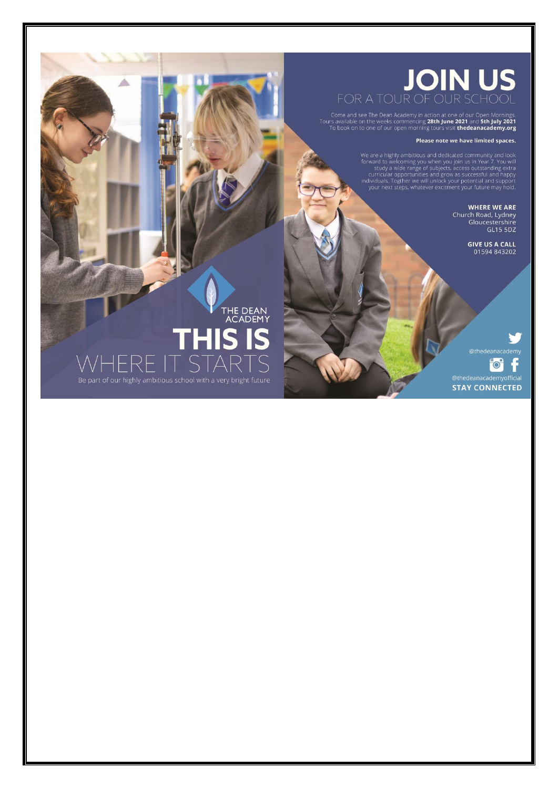#### **JOIN US** FOR A TOUR OF OUR SCHOOL

Come and see The Dean Academy in action at one of our Open Mornings.<br>Tours available on the weeks commencing 28th June 2021 and 5th July 2021<br>To book on to one of our open morning tours visit thedeanacademy.org

#### Please note we have limited spaces.

We are a highly ambitious and dedicated community and look<br>forward to welcoming you when you join us in Year 7. You will<br>study a wide range of subjects, access outstanding extra<br>curricular opportunities and grow as success

**WHERE WE ARE** Church Road, Lydney<br>Gloucestershire<br>GL15 5DZ

**GIVE US A CALL**<br>01594 843202

F. **DU** f

@thedeanacademyofficial **STAY CONNECTED** 

THE DEAN<br>ACADEMY Be part of our highly ambitious school with a very bright future

Δ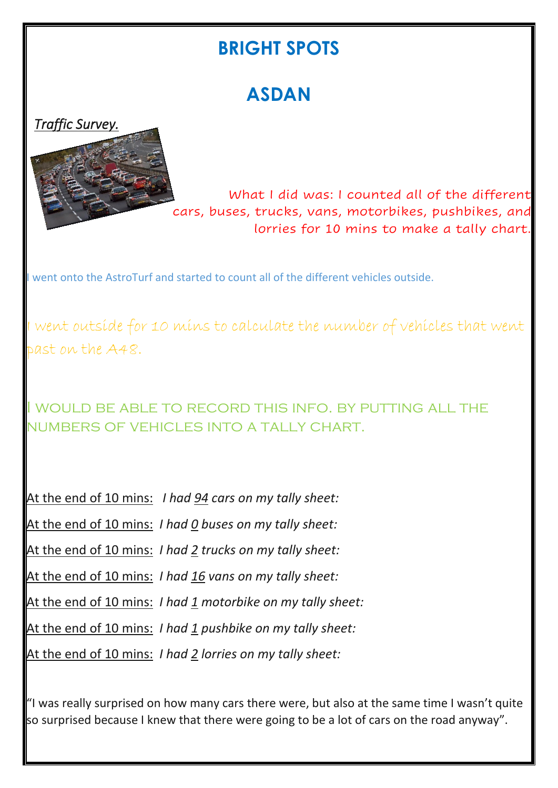#### **BRIGHT SPOTS**

## **ASDAN**





 What I did was: I counted all of the different cars, buses, trucks, vans, motorbikes, pushbikes, and lorries for 10 mins to make a tally chart.

I went onto the AstroTurf and started to count all of the different vehicles outside.

I went outside for 10 mins to calculate the number of vehicles that went past on the A48.

I would be able to record this info. by putting all the numbers of vehicles into a tally chart.

|  | At the end of 10 mins: I had 94 cars on my tally sheet:        |
|--|----------------------------------------------------------------|
|  | At the end of 10 mins: I had 0 buses on my tally sheet:        |
|  | At the end of 10 mins: I had 2 trucks on my tally sheet:       |
|  | At the end of 10 mins: <i>I had 16 vans on my tally sheet:</i> |
|  | At the end of 10 mins: I had 1 motorbike on my tally sheet:    |
|  | At the end of 10 mins: I had 1 pushbike on my tally sheet:     |
|  | At the end of 10 mins: I had 2 lorries on my tally sheet:      |

 $"$ I was really surprised on how many cars there were, but also at the same time I wasn't quite so surprised because I knew that there were going to be a lot of cars on the road anyway".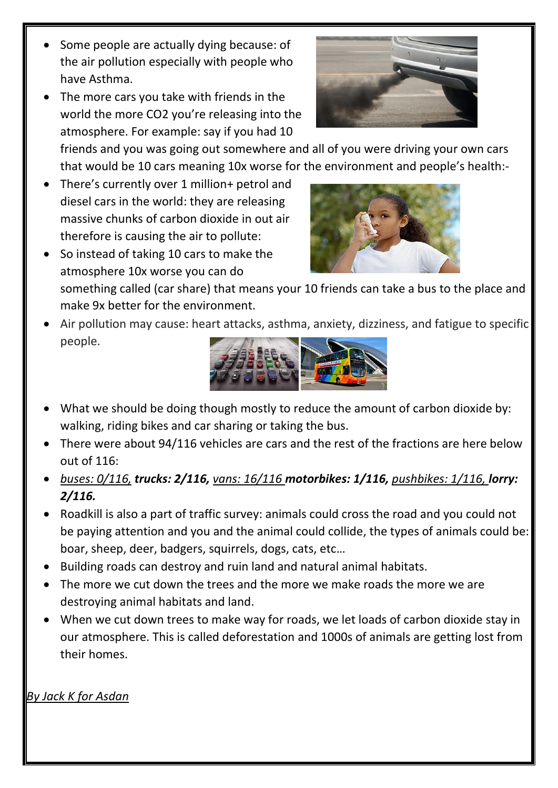- Some people are actually dying because: of the air pollution especially with people who have Asthma.
- The more cars you take with friends in the world the more CO2 you're releasing into the atmosphere. For example: say if you had 10

friends and you was going out somewhere and all of you were driving your own cars that would be 10 cars meaning 10x worse for the environment and people's health:-

- There's currently over 1 million+ petrol and diesel cars in the world: they are releasing massive chunks of carbon dioxide in out air therefore is causing the air to pollute:
- So instead of taking 10 cars to make the atmosphere 10x worse you can do something called (car share) that means your 10 friends can take a bus to the place and make 9x better for the environment.
- Air pollution may cause: heart attacks, asthma, anxiety, dizziness, and fatigue to specific people.



- What we should be doing though mostly to reduce the amount of carbon dioxide by: walking, riding bikes and car sharing or taking the bus.
- There were about 94/116 vehicles are cars and the rest of the fractions are here below out of 116:
- *buses: 0/116, trucks: 2/116, vans: 16/116 motorbikes: 1/116, pushbikes: 1/116, lorry: 2/116.*
- Roadkill is also a part of traffic survey: animals could cross the road and you could not be paying attention and you and the animal could collide, the types of animals could be: boar, sheep, deer, badgers, squirrels, dogs, cats, etc…
- Building roads can destroy and ruin land and natural animal habitats.
- The more we cut down the trees and the more we make roads the more we are destroying animal habitats and land.
- When we cut down trees to make way for roads, we let loads of carbon dioxide stay in our atmosphere. This is called deforestation and 1000s of animals are getting lost from their homes.

*By Jack K for Asdan*



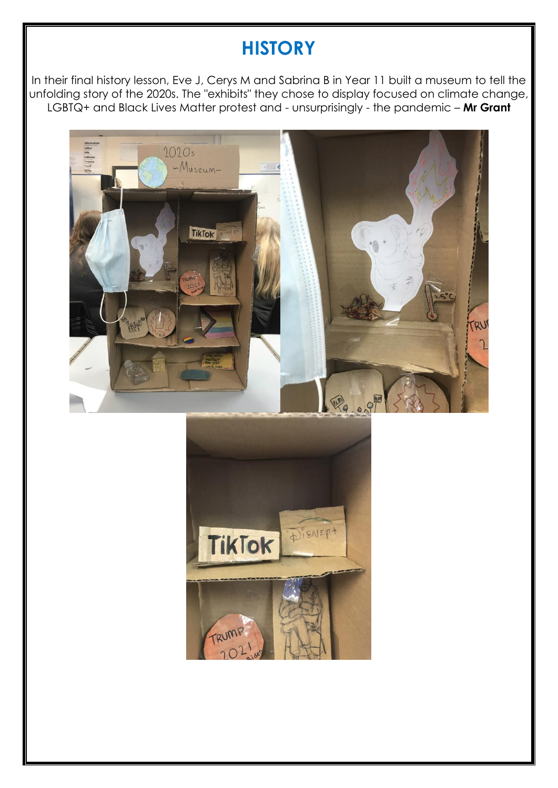### **HISTORY**

In their final history lesson, Eve J, Cerys M and Sabrina B in Year 11 built a museum to tell the unfolding story of the 2020s. The "exhibits" they chose to display focused on climate change, LGBTQ+ and Black Lives Matter protest and - unsurprisingly - the pandemic – **Mr Grant**



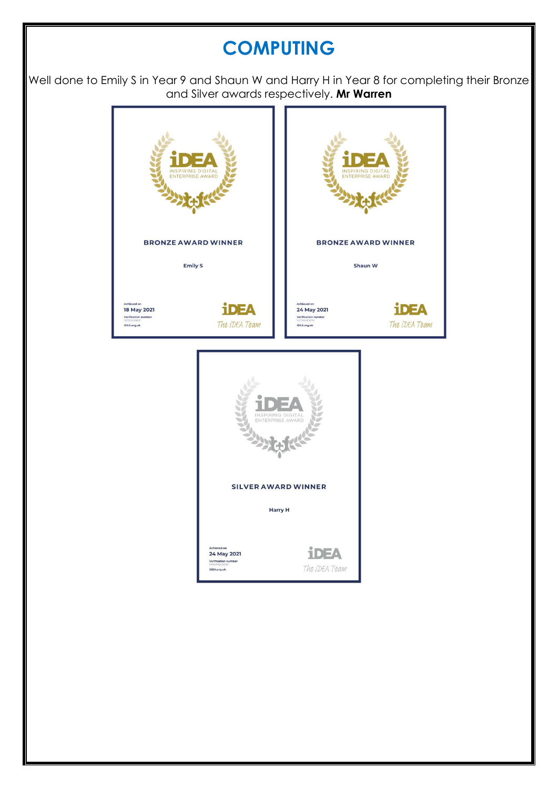### **COMPUTING**

Well done to Emily S in Year 9 and Shaun W and Harry H in Year 8 for completing their Bronze and Silver awards respectively. **Mr Warren**